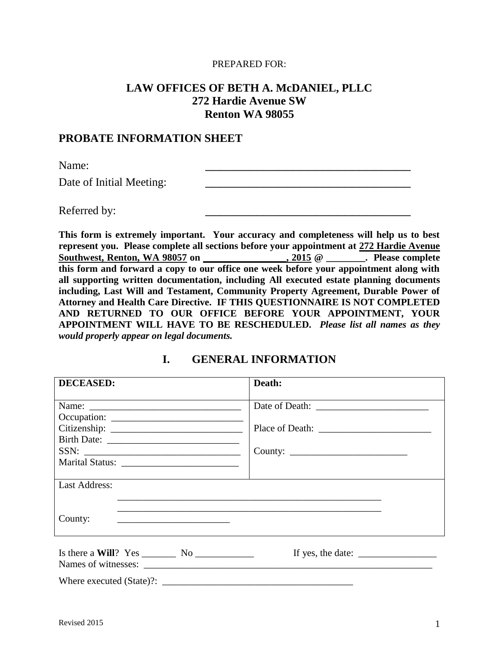#### PREPARED FOR:

## **LAW OFFICES OF BETH A. McDANIEL, PLLC 272 Hardie Avenue SW Renton WA 98055**

#### **PROBATE INFORMATION SHEET**

Name: 2008. 2008. 2008. 2008. 2008. 2008. 2008. 2008. 2008. 2009. 2008. 2009. 2009. 2009. 2009. 2009. 2009. 20<br>2009. 2009. 2009. 2009. 2009. 2009. 2009. 2009. 2009. 2009. 2009. 2009. 2009. 2009. 2009. 2009. 2009. 2009. 20

Date of Initial Meeting:

Referred by:

**This form is extremely important. Your accuracy and completeness will help us to best represent you. Please complete all sections before your appointment at 272 Hardie Avenue Southwest, Renton, WA 98057 on \_\_\_\_\_\_\_\_\_\_\_\_\_\_\_\_\_, 2015 @ \_\_\_\_\_\_\_\_. Please complete this form and forward a copy to our office one week before your appointment along with all supporting written documentation, including All executed estate planning documents including, Last Will and Testament, Community Property Agreement, Durable Power of Attorney and Health Care Directive. IF THIS QUESTIONNAIRE IS NOT COMPLETED AND RETURNED TO OUR OFFICE BEFORE YOUR APPOINTMENT, YOUR APPOINTMENT WILL HAVE TO BE RESCHEDULED.** *Please list all names as they would properly appear on legal documents.*

## **I. GENERAL INFORMATION**

| <b>DECEASED:</b>                                                                                            | Death:                                                               |
|-------------------------------------------------------------------------------------------------------------|----------------------------------------------------------------------|
|                                                                                                             |                                                                      |
|                                                                                                             |                                                                      |
|                                                                                                             |                                                                      |
|                                                                                                             |                                                                      |
|                                                                                                             |                                                                      |
| <b>Last Address:</b>                                                                                        |                                                                      |
| County:<br><u>experience</u> and the control of the control of the control of the control of the control of |                                                                      |
| Names of witnesses:                                                                                         | If yes, the date: $\frac{1}{\sqrt{1-\frac{1}{2}} \cdot \frac{1}{2}}$ |
|                                                                                                             |                                                                      |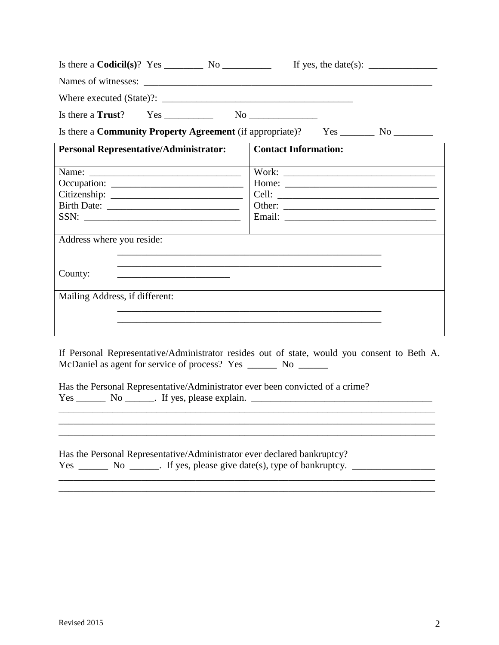|                                                                                                                                                                                                                                                                                                                                           |                             | If yes, the date(s): $\frac{ }{ }$ |
|-------------------------------------------------------------------------------------------------------------------------------------------------------------------------------------------------------------------------------------------------------------------------------------------------------------------------------------------|-----------------------------|------------------------------------|
|                                                                                                                                                                                                                                                                                                                                           |                             |                                    |
|                                                                                                                                                                                                                                                                                                                                           |                             |                                    |
| Is there a Trust? $Yes \_$ No $\_$                                                                                                                                                                                                                                                                                                        |                             |                                    |
| Is there a <b>Community Property Agreement</b> (if appropriate)? Yes ________ No ________                                                                                                                                                                                                                                                 |                             |                                    |
| <b>Personal Representative/Administrator:</b>                                                                                                                                                                                                                                                                                             | <b>Contact Information:</b> |                                    |
| SSN:                                                                                                                                                                                                                                                                                                                                      |                             |                                    |
| Address where you reside:<br>County:<br><u> 1989 - Johann John Harry Harry Harry Harry Harry Harry Harry Harry Harry Harry Harry Harry Harry Harry Harry H</u>                                                                                                                                                                            |                             |                                    |
| Mailing Address, if different:                                                                                                                                                                                                                                                                                                            |                             |                                    |
| If Personal Representative/Administrator resides out of state, would you consent to Beth A.<br>McDaniel as agent for service of process? Yes ________ No _______<br>Has the Personal Representative/Administrator ever been convicted of a crime?<br>$Yes \_\_\_\_\_$ No $\_\_\_\_\$ . If yes, please explain. $\_\_\_\_\_\_\_\_\_\_\_\_$ |                             |                                    |
|                                                                                                                                                                                                                                                                                                                                           |                             |                                    |

Has the Personal Representative/Administrator ever declared bankruptcy?  $Yes \_\_\_\_\_\_\_\_\_\_\_\.\$  No  $\_\_\_\_\_\.\$  If yes, please give date(s), type of bankruptcy.  $\_\_\_\_\_\_\_\_\_\_\_\_\_\_\_\_\_\_\_\_\_\_$ \_\_\_\_\_\_\_\_\_\_\_\_\_\_\_\_\_\_\_\_\_\_\_\_\_\_\_\_\_\_\_\_\_\_\_\_\_\_\_\_\_\_\_\_\_\_\_\_\_\_\_\_\_\_\_\_\_\_\_\_\_\_\_\_\_\_\_\_\_\_\_\_\_\_\_\_\_

\_\_\_\_\_\_\_\_\_\_\_\_\_\_\_\_\_\_\_\_\_\_\_\_\_\_\_\_\_\_\_\_\_\_\_\_\_\_\_\_\_\_\_\_\_\_\_\_\_\_\_\_\_\_\_\_\_\_\_\_\_\_\_\_\_\_\_\_\_\_\_\_\_\_\_\_\_

\_\_\_\_\_\_\_\_\_\_\_\_\_\_\_\_\_\_\_\_\_\_\_\_\_\_\_\_\_\_\_\_\_\_\_\_\_\_\_\_\_\_\_\_\_\_\_\_\_\_\_\_\_\_\_\_\_\_\_\_\_\_\_\_\_\_\_\_\_\_\_\_\_\_\_\_\_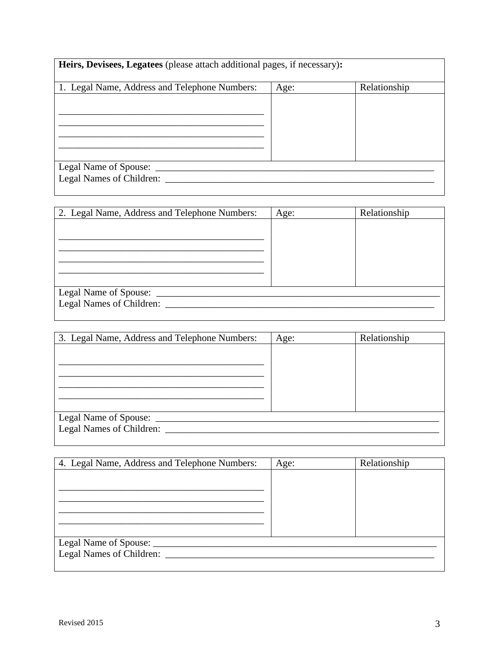| Heirs, Devisees, Legatees (please attach additional pages, if necessary): |      |              |
|---------------------------------------------------------------------------|------|--------------|
| 1. Legal Name, Address and Telephone Numbers:                             | Age: | Relationship |
|                                                                           |      |              |
|                                                                           |      |              |
|                                                                           |      |              |
|                                                                           |      |              |
|                                                                           |      |              |
| Legal Name of Spouse: _                                                   |      |              |
| Legal Names of Children:                                                  |      |              |
|                                                                           |      |              |

| 2. Legal Name, Address and Telephone Numbers: | Age: | Relationship |
|-----------------------------------------------|------|--------------|
|                                               |      |              |
|                                               |      |              |
|                                               |      |              |
|                                               |      |              |
|                                               |      |              |
|                                               |      |              |
| Legal Name of Spouse: __                      |      |              |
| Legal Names of Children: __                   |      |              |
|                                               |      |              |

| 3. Legal Name, Address and Telephone Numbers: | Age: | Relationship |
|-----------------------------------------------|------|--------------|
|                                               |      |              |
|                                               |      |              |
|                                               |      |              |
|                                               |      |              |
|                                               |      |              |
|                                               |      |              |
| Legal Name of Spouse: _                       |      |              |
| Legal Names of Children:                      |      |              |
|                                               |      |              |

| 4. Legal Name, Address and Telephone Numbers: | Age: | Relationship |
|-----------------------------------------------|------|--------------|
|                                               |      |              |
|                                               |      |              |
|                                               |      |              |
|                                               |      |              |
|                                               |      |              |
|                                               |      |              |
|                                               |      |              |
| Legal Names of Children:                      |      |              |
|                                               |      |              |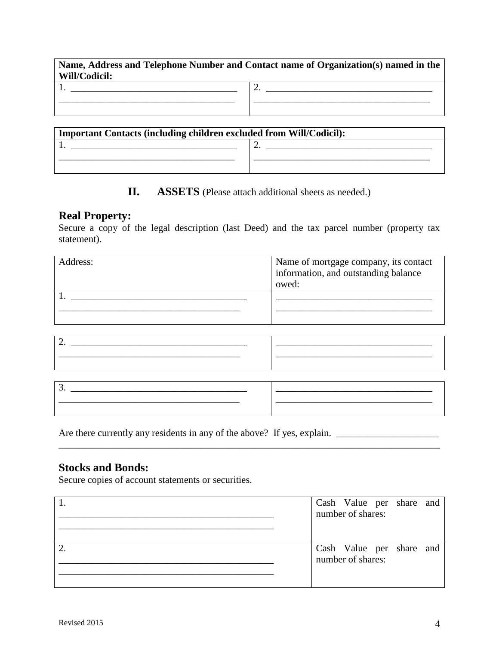| Will/Codicil: | Name, Address and Telephone Number and Contact name of Organization(s) named in the |
|---------------|-------------------------------------------------------------------------------------|
|               |                                                                                     |

| $\sim$ |
|--------|
|        |
|        |
|        |

| <b>Important Contacts (including children excluded from Will/Codicil):</b> |  |  |
|----------------------------------------------------------------------------|--|--|
|                                                                            |  |  |
|                                                                            |  |  |
|                                                                            |  |  |

## **II. ASSETS** (Please attach additional sheets as needed.)

#### **Real Property:**

Secure a copy of the legal description (last Deed) and the tax parcel number (property tax statement).

| Address: | Name of mortgage company, its contact<br>information, and outstanding balance<br>owed: |
|----------|----------------------------------------------------------------------------------------|
|          |                                                                                        |

| - |  |
|---|--|
|   |  |
|   |  |

| ັ |  |
|---|--|
|   |  |
|   |  |

\_\_\_\_\_\_\_\_\_\_\_\_\_\_\_\_\_\_\_\_\_\_\_\_\_\_\_\_\_\_\_\_\_\_\_\_\_\_\_\_\_\_\_\_\_\_\_\_\_\_\_\_\_\_\_\_\_\_\_\_\_\_\_\_\_\_\_\_\_\_\_\_\_\_\_\_\_\_

Are there currently any residents in any of the above? If yes, explain. \_\_\_\_\_\_\_\_\_\_\_\_\_\_\_\_\_\_\_\_\_

## **Stocks and Bonds:**

Secure copies of account statements or securities.

| Cash Value per share and<br>number of shares: |  |  |
|-----------------------------------------------|--|--|
| Cash Value per share and<br>number of shares: |  |  |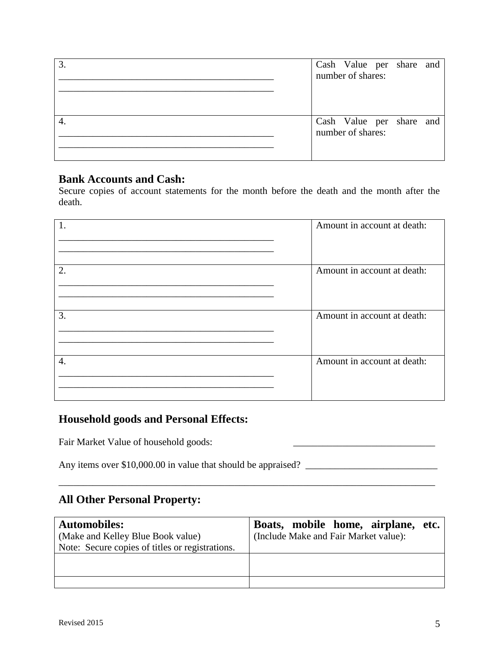| 3 | Cash Value per share and<br>number of shares: |  |  |
|---|-----------------------------------------------|--|--|
|   | Cash Value per share and<br>number of shares: |  |  |

## **Bank Accounts and Cash:**

Secure copies of account statements for the month before the death and the month after the death.

| 1. | Amount in account at death: |
|----|-----------------------------|
| 2. | Amount in account at death: |
| 3. | Amount in account at death: |
| 4. | Amount in account at death: |

## **Household goods and Personal Effects:**

Fair Market Value of household goods:

Any items over \$10,000.00 in value that should be appraised? \_\_\_\_\_\_\_\_\_\_\_\_\_\_\_\_\_\_\_\_\_\_\_\_\_\_\_

# **All Other Personal Property:**

| <b>Automobiles:</b>                             | Boats, mobile home, airplane,<br>etc. |
|-------------------------------------------------|---------------------------------------|
| (Make and Kelley Blue Book value)               | (Include Make and Fair Market value): |
| Note: Secure copies of titles or registrations. |                                       |
|                                                 |                                       |
|                                                 |                                       |
|                                                 |                                       |

\_\_\_\_\_\_\_\_\_\_\_\_\_\_\_\_\_\_\_\_\_\_\_\_\_\_\_\_\_\_\_\_\_\_\_\_\_\_\_\_\_\_\_\_\_\_\_\_\_\_\_\_\_\_\_\_\_\_\_\_\_\_\_\_\_\_\_\_\_\_\_\_\_\_\_\_\_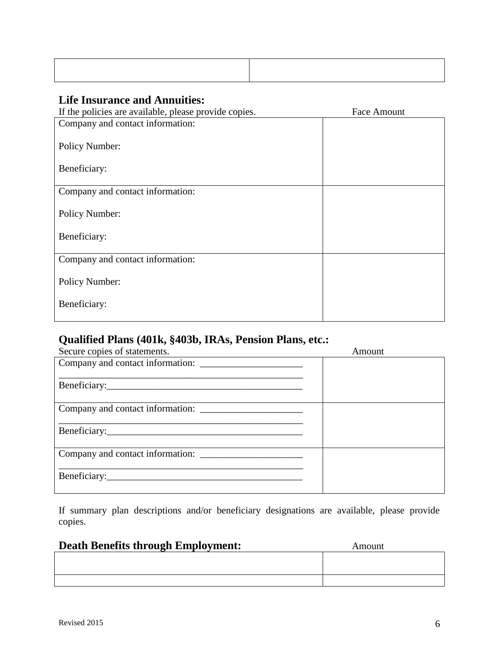# **Life Insurance and Annuities:**

| If the policies are available, please provide copies. | <b>Face Amount</b> |
|-------------------------------------------------------|--------------------|
| Company and contact information:                      |                    |
|                                                       |                    |
| Policy Number:                                        |                    |
|                                                       |                    |
| Beneficiary:                                          |                    |
|                                                       |                    |
| Company and contact information:                      |                    |
|                                                       |                    |
| Policy Number:                                        |                    |
| Beneficiary:                                          |                    |
|                                                       |                    |
| Company and contact information:                      |                    |
|                                                       |                    |
| Policy Number:                                        |                    |
|                                                       |                    |
| Beneficiary:                                          |                    |
|                                                       |                    |

# **Qualified Plans (401k, §403b, IRAs, Pension Plans, etc.:**

| Secure copies of statements. | Amount |
|------------------------------|--------|
|                              |        |
|                              |        |
|                              |        |
|                              |        |
|                              |        |
|                              |        |
|                              |        |
|                              |        |
|                              |        |
|                              |        |
|                              |        |
|                              |        |

If summary plan descriptions and/or beneficiary designations are available, please provide copies.

# **Death Benefits through Employment:** Amount

|  | $\overline{O}$ and $\overline{O}$ and $\overline{O}$ and $\overline{O}$ and $\overline{O}$ and $\overline{O}$ and $\overline{O}$ and $\overline{O}$ and $\overline{O}$ and $\overline{O}$ and $\overline{O}$ and $\overline{O}$ and $\overline{O}$ and $\overline{O}$ and $\overline{O}$ and $\overline{O}$ and $\overline{O}$ and |  |
|--|------------------------------------------------------------------------------------------------------------------------------------------------------------------------------------------------------------------------------------------------------------------------------------------------------------------------------------|--|
|  |                                                                                                                                                                                                                                                                                                                                    |  |
|  |                                                                                                                                                                                                                                                                                                                                    |  |
|  |                                                                                                                                                                                                                                                                                                                                    |  |
|  |                                                                                                                                                                                                                                                                                                                                    |  |
|  |                                                                                                                                                                                                                                                                                                                                    |  |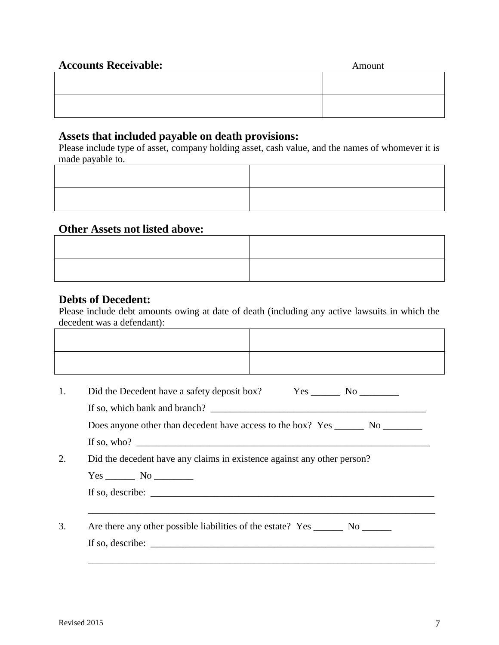| <b>Accounts Receivable:</b> | Amount |
|-----------------------------|--------|
|                             |        |
|                             |        |
|                             |        |
|                             |        |

#### **Assets that included payable on death provisions:**

Please include type of asset, company holding asset, cash value, and the names of whomever it is made payable to.

#### **Other Assets not listed above:**

#### **Debts of Decedent:**

Please include debt amounts owing at date of death (including any active lawsuits in which the decedent was a defendant):  $\top$  $\overline{1}$ 

|                                                                    |  | Did the decedent have any claims in existence against any other person? |  |
|--------------------------------------------------------------------|--|-------------------------------------------------------------------------|--|
|                                                                    |  |                                                                         |  |
| If so, describe: $\sqrt{\frac{1}{2} \sum_{i=1}^{n} (x_i - x_i)^2}$ |  |                                                                         |  |